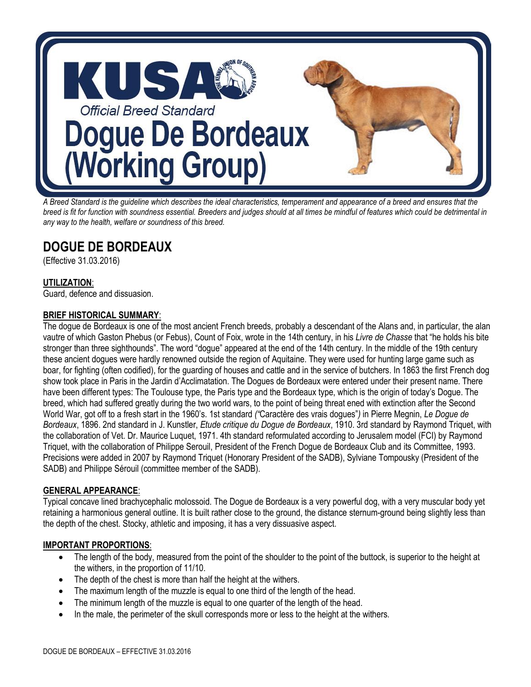

*A Breed Standard is the guideline which describes the ideal characteristics, temperament and appearance of a breed and ensures that the breed is fit for function with soundness essential. Breeders and judges should at all times be mindful of features which could be detrimental in any way to the health, welfare or soundness of this breed.* 

# **DOGUE DE BORDEAUX**

(Effective 31.03.2016)

# **UTILIZATION**:

Guard, defence and dissuasion.

## **BRIEF HISTORICAL SUMMARY**:

The dogue de Bordeaux is one of the most ancient French breeds, probably a descendant of the Alans and, in particular, the alan vautre of which Gaston Phebus (or Febus), Count of Foix, wrote in the 14th century, in his *Livre de Chasse* that "he holds his bite stronger than three sighthounds". The word "dogue" appeared at the end of the 14th century. In the middle of the 19th century these ancient dogues were hardly renowned outside the region of Aquitaine. They were used for hunting large game such as boar, for fighting (often codified), for the guarding of houses and cattle and in the service of butchers. In 1863 the first French dog show took place in Paris in the Jardin d'Acclimatation. The Dogues de Bordeaux were entered under their present name. There have been different types: The Toulouse type, the Paris type and the Bordeaux type, which is the origin of today's Dogue. The breed, which had suffered greatly during the two world wars, to the point of being threat ened with extinction after the Second World War, got off to a fresh start in the 1960's. 1st standard *("*Caractère des vrais dogues"*)* in Pierre Megnin, *Le Dogue de Bordeaux*, 1896. 2nd standard in J. Kunstler, *Etude critique du Dogue de Bordeaux*, 1910. 3rd standard by Raymond Triquet, with the collaboration of Vet. Dr. Maurice Luquet, 1971. 4th standard reformulated according to Jerusalem model (FCI) by Raymond Triquet, with the collaboration of Philippe Serouil, President of the French Dogue de Bordeaux Club and its Committee, 1993. Precisions were added in 2007 by Raymond Triquet (Honorary President of the SADB), Sylviane Tompousky (President of the SADB) and Philippe Sérouil (committee member of the SADB).

#### **GENERAL APPEARANCE**:

Typical concave lined brachycephalic molossoid. The Dogue de Bordeaux is a very powerful dog, with a very muscular body yet retaining a harmonious general outline. It is built rather close to the ground, the distance sternum-ground being slightly less than the depth of the chest. Stocky, athletic and imposing, it has a very dissuasive aspect.

#### **IMPORTANT PROPORTIONS**:

- The length of the body, measured from the point of the shoulder to the point of the buttock, is superior to the height at the withers, in the proportion of 11/10.
- The depth of the chest is more than half the height at the withers.
- The maximum length of the muzzle is equal to one third of the length of the head.
- The minimum length of the muzzle is equal to one quarter of the length of the head.
- In the male, the perimeter of the skull corresponds more or less to the height at the withers.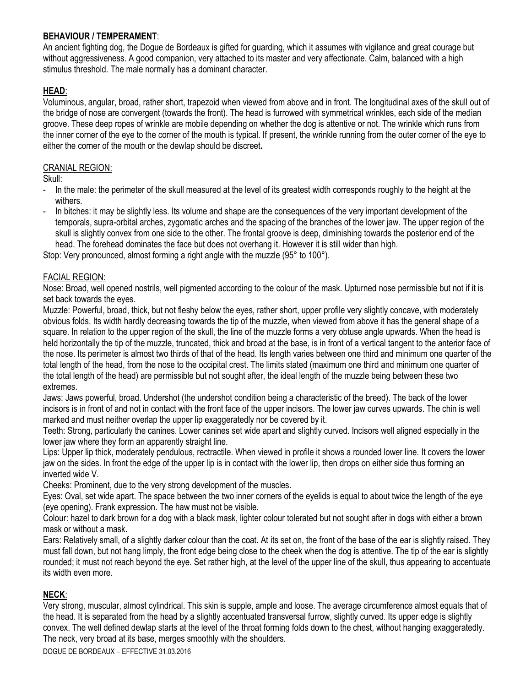### **BEHAVIOUR / TEMPERAMENT**:

An ancient fighting dog, the Dogue de Bordeaux is gifted for guarding, which it assumes with vigilance and great courage but without aggressiveness. A good companion, very attached to its master and very affectionate. Calm, balanced with a high stimulus threshold. The male normally has a dominant character.

## **HEAD**:

Voluminous, angular, broad, rather short, trapezoid when viewed from above and in front. The longitudinal axes of the skull out of the bridge of nose are convergent (towards the front). The head is furrowed with symmetrical wrinkles, each side of the median groove. These deep ropes of wrinkle are mobile depending on whether the dog is attentive or not. The wrinkle which runs from the inner corner of the eye to the corner of the mouth is typical. If present, the wrinkle running from the outer corner of the eye to either the corner of the mouth or the dewlap should be discreet**.**

#### CRANIAL REGION:

Skull:

- In the male: the perimeter of the skull measured at the level of its greatest width corresponds roughly to the height at the withers.
- In bitches: it may be slightly less. Its volume and shape are the consequences of the very important development of the temporals, supra-orbital arches, zygomatic arches and the spacing of the branches of the lower jaw. The upper region of the skull is slightly convex from one side to the other. The frontal groove is deep, diminishing towards the posterior end of the head. The forehead dominates the face but does not overhang it. However it is still wider than high.

Stop: Very pronounced, almost forming a right angle with the muzzle (95° to 100°).

#### FACIAL REGION:

Nose: Broad, well opened nostrils, well pigmented according to the colour of the mask. Upturned nose permissible but not if it is set back towards the eyes.

Muzzle: Powerful, broad, thick, but not fleshy below the eyes, rather short, upper profile very slightly concave, with moderately obvious folds. Its width hardly decreasing towards the tip of the muzzle, when viewed from above it has the general shape of a square. In relation to the upper region of the skull, the line of the muzzle forms a very obtuse angle upwards. When the head is held horizontally the tip of the muzzle, truncated, thick and broad at the base, is in front of a vertical tangent to the anterior face of the nose. Its perimeter is almost two thirds of that of the head. Its length varies between one third and minimum one quarter of the total length of the head, from the nose to the occipital crest. The limits stated (maximum one third and minimum one quarter of the total length of the head) are permissible but not sought after, the ideal length of the muzzle being between these two extremes.

Jaws: Jaws powerful, broad. Undershot (the undershot condition being a characteristic of the breed). The back of the lower incisors is in front of and not in contact with the front face of the upper incisors. The lower jaw curves upwards. The chin is well marked and must neither overlap the upper lip exaggeratedly nor be covered by it.

Teeth: Strong, particularly the canines. Lower canines set wide apart and slightly curved. Incisors well aligned especially in the lower jaw where they form an apparently straight line.

Lips: Upper lip thick, moderately pendulous, rectractile. When viewed in profile it shows a rounded lower line. It covers the lower jaw on the sides. In front the edge of the upper lip is in contact with the lower lip, then drops on either side thus forming an inverted wide V.

Cheeks: Prominent, due to the very strong development of the muscles.

Eyes: Oval, set wide apart. The space between the two inner corners of the eyelids is equal to about twice the length of the eye (eye opening). Frank expression. The haw must not be visible.

Colour: hazel to dark brown for a dog with a black mask, lighter colour tolerated but not sought after in dogs with either a brown mask or without a mask.

Ears: Relatively small, of a slightly darker colour than the coat. At its set on, the front of the base of the ear is slightly raised. They must fall down, but not hang limply, the front edge being close to the cheek when the dog is attentive. The tip of the ear is slightly rounded; it must not reach beyond the eye. Set rather high, at the level of the upper line of the skull, thus appearing to accentuate its width even more.

## **NECK**:

Very strong, muscular, almost cylindrical. This skin is supple, ample and loose. The average circumference almost equals that of the head. It is separated from the head by a slightly accentuated transversal furrow, slightly curved. Its upper edge is slightly convex. The well defined dewlap starts at the level of the throat forming folds down to the chest, without hanging exaggeratedly. The neck, very broad at its base, merges smoothly with the shoulders.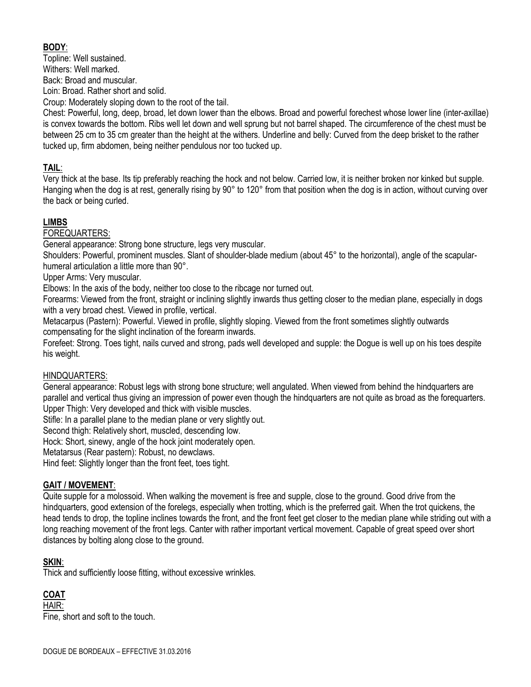# **BODY**:

Topline: Well sustained. Withers: Well marked. Back: Broad and muscular. Loin: Broad. Rather short and solid.

Croup: Moderately sloping down to the root of the tail.

Chest: Powerful, long, deep, broad, let down lower than the elbows. Broad and powerful forechest whose lower line (inter-axillae) is convex towards the bottom. Ribs well let down and well sprung but not barrel shaped. The circumference of the chest must be between 25 cm to 35 cm greater than the height at the withers. Underline and belly: Curved from the deep brisket to the rather tucked up, firm abdomen, being neither pendulous nor too tucked up.

# **TAIL**:

Very thick at the base. Its tip preferably reaching the hock and not below. Carried low, it is neither broken nor kinked but supple. Hanging when the dog is at rest, generally rising by 90° to 120° from that position when the dog is in action, without curving over the back or being curled.

# **LIMBS**

#### FOREQUARTERS:

General appearance: Strong bone structure, legs very muscular.

Shoulders: Powerful, prominent muscles. Slant of shoulder-blade medium (about 45° to the horizontal), angle of the scapularhumeral articulation a little more than 90°.

Upper Arms: Very muscular.

Elbows: In the axis of the body, neither too close to the ribcage nor turned out.

Forearms: Viewed from the front, straight or inclining slightly inwards thus getting closer to the median plane, especially in dogs with a very broad chest. Viewed in profile, vertical.

Metacarpus (Pastern): Powerful. Viewed in profile, slightly sloping. Viewed from the front sometimes slightly outwards compensating for the slight inclination of the forearm inwards.

Forefeet: Strong. Toes tight, nails curved and strong, pads well developed and supple: the Dogue is well up on his toes despite his weight.

## HINDQUARTERS:

General appearance: Robust legs with strong bone structure; well angulated. When viewed from behind the hindquarters are parallel and vertical thus giving an impression of power even though the hindquarters are not quite as broad as the forequarters. Upper Thigh: Very developed and thick with visible muscles.

Stifle: In a parallel plane to the median plane or very slightly out.

Second thigh: Relatively short, muscled, descending low.

Hock: Short, sinewy, angle of the hock joint moderately open.

Metatarsus (Rear pastern): Robust, no dewclaws.

Hind feet: Slightly longer than the front feet, toes tight.

## **GAIT / MOVEMENT**:

Quite supple for a molossoid. When walking the movement is free and supple, close to the ground. Good drive from the hindquarters, good extension of the forelegs, especially when trotting, which is the preferred gait. When the trot quickens, the head tends to drop, the topline inclines towards the front, and the front feet get closer to the median plane while striding out with a long reaching movement of the front legs. Canter with rather important vertical movement. Capable of great speed over short distances by bolting along close to the ground.

## **SKIN**:

Thick and sufficiently loose fitting, without excessive wrinkles.

# **COAT**

HAIR: Fine, short and soft to the touch.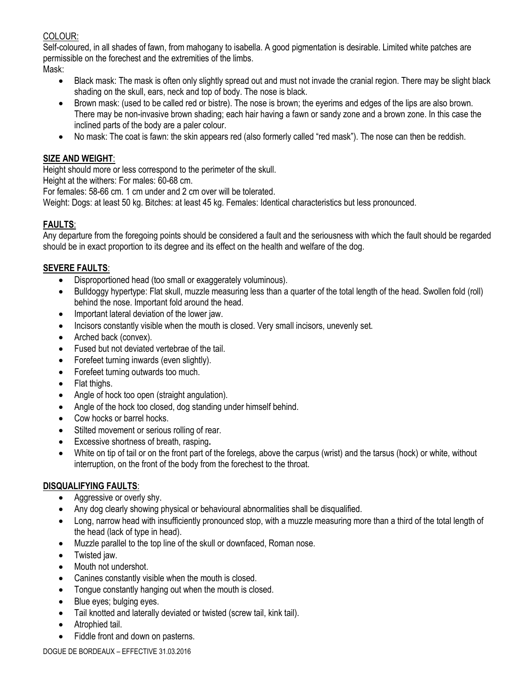# COLOUR:

Self-coloured, in all shades of fawn, from mahogany to isabella. A good pigmentation is desirable. Limited white patches are permissible on the forechest and the extremities of the limbs.

Mask:

- Black mask: The mask is often only slightly spread out and must not invade the cranial region. There may be slight black shading on the skull, ears, neck and top of body. The nose is black.
- Brown mask: (used to be called red or bistre). The nose is brown; the eyerims and edges of the lips are also brown. There may be non-invasive brown shading; each hair having a fawn or sandy zone and a brown zone. In this case the inclined parts of the body are a paler colour.
- No mask: The coat is fawn: the skin appears red (also formerly called "red mask"). The nose can then be reddish.

# **SIZE AND WEIGHT**:

Height should more or less correspond to the perimeter of the skull.

Height at the withers: For males: 60-68 cm.

For females: 58-66 cm. 1 cm under and 2 cm over will be tolerated.

Weight: Dogs: at least 50 kg. Bitches: at least 45 kg. Females: Identical characteristics but less pronounced.

# **FAULTS**:

Any departure from the foregoing points should be considered a fault and the seriousness with which the fault should be regarded should be in exact proportion to its degree and its effect on the health and welfare of the dog.

# **SEVERE FAULTS**:

- Disproportioned head (too small or exaggerately voluminous).
- Bulldoggy hypertype: Flat skull, muzzle measuring less than a quarter of the total length of the head. Swollen fold (roll) behind the nose. Important fold around the head.
- Important lateral deviation of the lower jaw.
- Incisors constantly visible when the mouth is closed. Very small incisors, unevenly set.
- Arched back (convex)*.*
- Fused but not deviated vertebrae of the tail.
- Forefeet turning inwards (even slightly).
- Forefeet turning outwards too much.
- Flat thighs.
- Angle of hock too open (straight angulation).
- Angle of the hock too closed, dog standing under himself behind.
- Cow hocks or barrel hocks.
- Stilted movement or serious rolling of rear.
- Excessive shortness of breath, rasping**.**
- White on tip of tail or on the front part of the forelegs, above the carpus (wrist) and the tarsus (hock) or white, without interruption, on the front of the body from the forechest to the throat.

## **DISQUALIFYING FAULTS**:

- Aggressive or overly shy.
- Any dog clearly showing physical or behavioural abnormalities shall be disqualified.
- Long, narrow head with insufficiently pronounced stop, with a muzzle measuring more than a third of the total length of the head (lack of type in head).
- Muzzle parallel to the top line of the skull or downfaced, Roman nose.
- Twisted jaw.
- Mouth not undershot.
- Canines constantly visible when the mouth is closed.
- Tongue constantly hanging out when the mouth is closed.
- Blue eyes; bulging eyes.
- Tail knotted and laterally deviated or twisted (screw tail, kink tail).
- Atrophied tail.
- Fiddle front and down on pasterns.